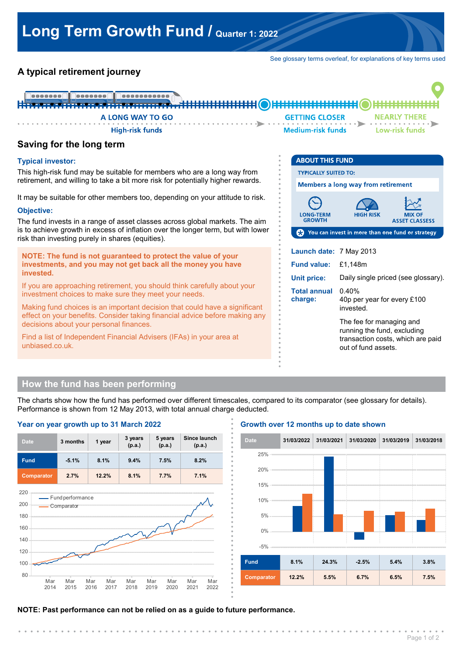See glossary terms overleaf, for explanations of key terms used

# **A typical retirement journey**



**. . . . . . . . . . . . . . . .**

**. . . . . . . . . . . . . . . .**

**. . . . . . . . . . . . . . . .**

# **Saving for the long term**

### **Typical investor:**

This high-risk fund may be suitable for members who are a long way from retirement, and willing to take a bit more risk for potentially higher rewards.

It may be suitable for other members too, depending on your attitude to risk.

#### **Objective:**

The fund invests in a range of asset classes across global markets. The aim is to achieve growth in excess of inflation over the longer term, but with lower risk than investing purely in shares (equities).

**NOTE: The fund is not guaranteed to protect the value of your investments, and you may not get back all the money you have invested.**

If you are approaching retirement, you should think carefully about your investment choices to make sure they meet your needs.

Making fund choices is an important decision that could have a significant effect on your benefits. Consider taking financial advice before making any decisions about your personal finances.

Find a list of Independent Financial Advisers (IFAs) in your area at unbiased.co.uk.



running the fund, excluding transaction costs, which are paid out of fund assets.

# **How the fund has been performing**

The charts show how the fund has performed over different timescales, compared to its comparator (see glossary for details). Performance is shown from 12 May 2013, with total annual charge deducted. **.**



#### **Growth over 12 months up to date shown**



**NOTE: Past performance can not be relied on as a guide to future performance.**